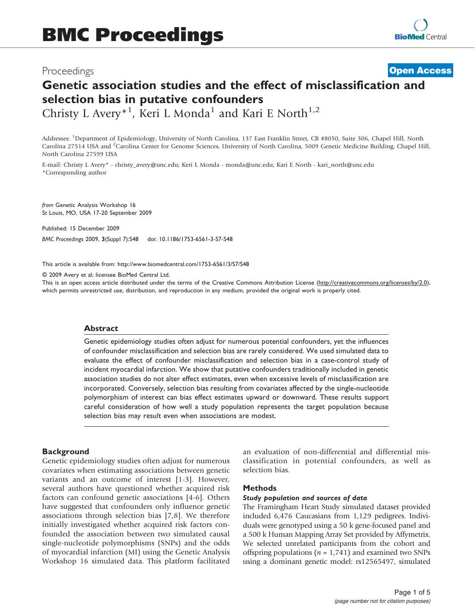# Proceedings

**[Open Access](http://www.biomedcentral.com/info/about/charter/)**

# Genetic association studies and the effect of misclassification and selection bias in putative confounders

Christy L Avery<sup>\*1</sup>, Keri L Monda<sup>1</sup> and Kari E North<sup>1,2</sup>

Addresses: <sup>1</sup>Department of Epidemiology, University of North Carolina, 137 East Franklin Street, CB #8050, Suite 306, Chapel Hill, North Carolina 27514 USA and <sup>2</sup>Carolina Center for Genome Sciences, University of North Carolina, 5009 Genetic Medicine Building, Chapel Hill, North Carolina 27599 USA

E-mail: Christy L Avery\* - [christy\\_avery@unc.edu;](mailto:christy_avery@unc.edu) Keri L Monda - [monda@unc.edu;](mailto:monda@unc.edu) Kari E North - [kari\\_north@unc.edu](mailto:kari_north@unc.edu) \*Corresponding author

from Genetic Analysis Workshop 16 St Louis, MO, USA 17-20 September 2009

Published: 15 December 2009

BMC Proceedings 2009, 3(Suppl 7):S48 doi: 10.1186/1753-6561-3-S7-S48

This article is available from: http://www.biomedcentral.com/1753-6561/3/S7/S48

© 2009 Avery et al; licensee BioMed Central Ltd.

This is an open access article distributed under the terms of the Creative Commons Attribution License [\(http://creativecommons.org/licenses/by/2.0\)](http://creativecommons.org/licenses/by/2.0), which permits unrestricted use, distribution, and reproduction in any medium, provided the original work is properly cited.

#### Abstract

Genetic epidemiology studies often adjust for numerous potential confounders, yet the influences of confounder misclassification and selection bias are rarely considered. We used simulated data to evaluate the effect of confounder misclassification and selection bias in a case-control study of incident myocardial infarction. We show that putative confounders traditionally included in genetic association studies do not alter effect estimates, even when excessive levels of misclassification are incorporated. Conversely, selection bias resulting from covariates affected by the single-nucleotide polymorphism of interest can bias effect estimates upward or downward. These results support careful consideration of how well a study population represents the target population because selection bias may result even when associations are modest.

## **Background**

Genetic epidemiology studies often adjust for numerous covariates when estimating associations between genetic variants and an outcome of interest [[1-3](#page-4-0)]. However, several authors have questioned whether acquired risk factors can confound genetic associations [[4-6\]](#page-4-0). Others have suggested that confounders only influence genetic associations through selection bias [\[7,8\]](#page-4-0). We therefore initially investigated whether acquired risk factors confounded the association between two simulated causal single-nucleotide polymorphisms (SNPs) and the odds of myocardial infarction (MI) using the Genetic Analysis Workshop 16 simulated data. This platform facilitated an evaluation of non-differential and differential misclassification in potential confounders, as well as selection bias.

## Methods

#### Study population and sources of data

The Framingham Heart Study simulated dataset provided included 6,476 Caucasians from 1,129 pedigrees. Individuals were genotyped using a 50 k gene-focused panel and a 500 k Human Mapping Array Set provided by Affymetrix. We selected unrelated participants from the cohort and offspring populations ( $n = 1,741$ ) and examined two SNPs using a dominant genetic model: rs12565497, simulated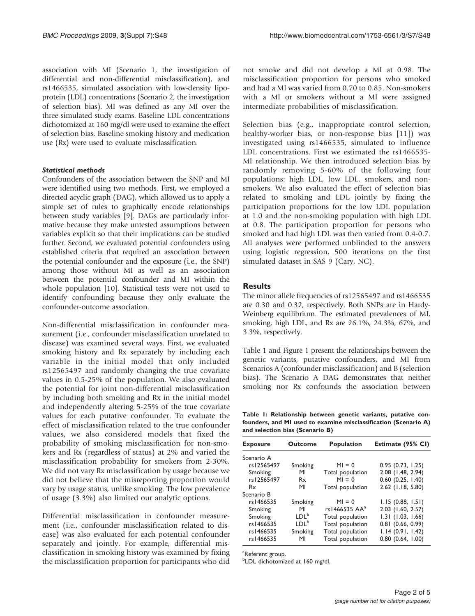<span id="page-1-0"></span>association with MI (Scenario 1, the investigation of differential and non-differential misclassification), and rs1466535, simulated association with low-density lipoprotein (LDL) concentrations (Scenario 2, the investigation of selection bias). MI was defined as any MI over the three simulated study exams. Baseline LDL concentrations dichotomized at 160 mg/dl were used to examine the effect of selection bias. Baseline smoking history and medication use (Rx) were used to evaluate misclassification.

## Statistical methods

Confounders of the association between the SNP and MI were identified using two methods. First, we employed a directed acyclic graph (DAG), which allowed us to apply a simple set of rules to graphically encode relationships between study variables [\[9](#page-4-0)]. DAGs are particularly informative because they make untested assumptions between variables explicit so that their implications can be studied further. Second, we evaluated potential confounders using established criteria that required an association between the potential confounder and the exposure (i.e., the SNP) among those without MI as well as an association between the potential confounder and MI within the whole population [\[10\]](#page-4-0). Statistical tests were not used to identify confounding because they only evaluate the confounder-outcome association.

Non-differential misclassification in confounder measurement (i.e., confounder misclassification unrelated to disease) was examined several ways. First, we evaluated smoking history and Rx separately by including each variable in the initial model that only included rs12565497 and randomly changing the true covariate values in 0.5-25% of the population. We also evaluated the potential for joint non-differential misclassification by including both smoking and Rx in the initial model and independently altering 5-25% of the true covariate values for each putative confounder. To evaluate the effect of misclassification related to the true confounder values, we also considered models that fixed the probability of smoking misclassification for non-smokers and Rx (regardless of status) at 2% and varied the misclassification probability for smokers from 2-30%. We did not vary Rx misclassification by usage because we did not believe that the misreporting proportion would vary by usage status, unlike smoking. The low prevalence of usage (3.3%) also limited our analytic options.

Differential misclassification in confounder measurement (i.e., confounder misclassification related to disease) was also evaluated for each potential confounder separately and jointly. For example, differential misclassification in smoking history was examined by fixing the misclassification proportion for participants who did not smoke and did not develop a MI at 0.98. The misclassification proportion for persons who smoked and had a MI was varied from 0.70 to 0.85. Non-smokers with a MI or smokers without a MI were assigned intermediate probabilities of misclassification.

Selection bias (e.g., inappropriate control selection, healthy-worker bias, or non-response bias [[11\]](#page-4-0)) was investigated using rs1466535, simulated to influence LDL concentrations. First we estimated the rs1466535- MI relationship. We then introduced selection bias by randomly removing 5-60% of the following four populations: high LDL, low LDL, smokers, and nonsmokers. We also evaluated the effect of selection bias related to smoking and LDL jointly by fixing the participation proportions for the low LDL population at 1.0 and the non-smoking population with high LDL at 0.8. The participation proportion for persons who smoked and had high LDL was then varied from 0.4-0.7. All analyses were performed unblinded to the answers using logistic regression, 500 iterations on the first simulated dataset in SAS 9 (Cary, NC).

## **Results**

The minor allele frequencies of rs12565497 and rs1466535 are 0.30 and 0.32, respectively. Both SNPs are in Hardy-Weinberg equilibrium. The estimated prevalences of MI, smoking, high LDL, and Rx are 26.1%, 24.3%, 67%, and 3.3%, respectively.

Table 1 and [Figure 1](#page-2-0) present the relationships between the genetic variants, putative confounders, and MI from Scenarios A (confounder misclassification) and B (selection bias). The Scenario A DAG demonstrates that neither smoking nor Rx confounds the association between

Table 1: Relationship between genetic variants, putative confounders, and MI used to examine misclassification (Scenario A) and selection bias (Scenario B)

| <b>Exposure</b> | <b>Outcome</b>   | <b>Population</b>         | Estimate (95% CI)     |
|-----------------|------------------|---------------------------|-----------------------|
| Scenario A      |                  |                           |                       |
| rs12565497      | Smoking          | $MI = 0$                  | 0.95(0.73, 1.25)      |
| Smoking         | MI               | Total population          | 2.08 (1.48, 2.94)     |
| rs12565497      | Rx               | $MI = 0$                  | $0.60$ $(0.25, 1.40)$ |
| Rx              | MI               | Total population          | $2.62$ (1.18, 5.80)   |
| Scenario B      |                  |                           |                       |
| rs1466535       | Smoking          | $MI = 0$                  | 1.15(0.88, 1.51)      |
| Smoking         | MI               | rs1466535 AA <sup>a</sup> | $2.03$ (1.60, 2.57)   |
| Smoking         | IDI <sup>b</sup> | Total population          | $1.31$ (1.03, 1.66)   |
| rs1466535       | <sup>ם</sup> וחו | Total population          | $0.81$ (0.66, 0.99)   |
| rs1466535       | Smoking          | Total population          | 1.14(0.91, 1.42)      |
| rs1466535       | MI               | Total population          | $0.80$ $(0.64, 1.00)$ |

<sup>a</sup>Referent group.

**b**LDL dichotomized at 160 mg/dl.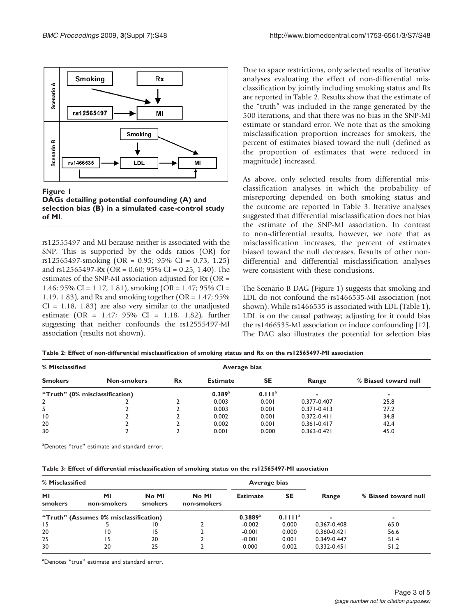<span id="page-2-0"></span>

Figure 1

# DAGs detailing potential confounding (A) and selection bias (B) in a simulated case-control study of MI.

rs12555497 and MI because neither is associated with the SNP. This is supported by the odds ratios (OR) for rs12565497-smoking (OR = 0.95; 95% CI = 0.73, 1.25) and rs12565497-Rx (OR = 0.60; 95% CI = 0.25, 1.40). The estimates of the SNP-MI association adjusted for Rx (OR = 1.46; 95% CI = 1.17, 1.81), smoking (OR = 1.47; 95% CI = 1.19, 1.83), and Rx and smoking together (OR = 1.47; 95%  $CI = 1.18, 1.83$  are also very similar to the unadjusted estimate (OR = 1.47; 95% CI = 1.18, 1.82), further suggesting that neither confounds the rs12555497-MI association (results not shown).

Due to space restrictions, only selected results of iterative analyses evaluating the effect of non-differential misclassification by jointly including smoking status and Rx are reported in Table 2. Results show that the estimate of the "truth" was included in the range generated by the 500 iterations, and that there was no bias in the SNP-MI estimate or standard error. We note that as the smoking misclassification proportion increases for smokers, the percent of estimates biased toward the null (defined as the proportion of estimates that were reduced in magnitude) increased.

As above, only selected results from differential misclassification analyses in which the probability of misreporting depended on both smoking status and the outcome are reported in Table 3. Iterative analyses suggested that differential misclassification does not bias the estimate of the SNP-MI association. In contrast to non-differential results, however, we note that as misclassification increases, the percent of estimates biased toward the null decreases. Results of other nondifferential and differential misclassification analyses were consistent with these conclusions.

The Scenario B DAG (Figure 1) suggests that smoking and LDL do not confound the rs1466535-MI association (not shown). While rs1466535 is associated with LDL [\(Table 1\)](#page-1-0), LDL is on the causal pathway; adjusting for it could bias the rs1466535-MI association or induce confounding [[12](#page-4-0)]. The DAG also illustrates the potential for selection bias

Table 2: Effect of non-differential misclassification of smoking status and Rx on the rs12565497-MI association

| % Misclassified                |                    |    |                 | Average bias |                 |                      |
|--------------------------------|--------------------|----|-----------------|--------------|-----------------|----------------------|
| <b>Smokers</b>                 | <b>Non-smokers</b> | Rx | <b>Estimate</b> | <b>SE</b>    | Range           | % Biased toward null |
| "Truth" (0% misclassification) |                    |    | $0.389^{a}$     | $0.111^a$    |                 |                      |
| 2                              |                    |    | 0.003           | 0.001        | 0.377-0.407     | 25.8                 |
| 5                              |                    |    | 0.003           | 0.001        | $0.371 - 0.413$ | 27.2                 |
| $\overline{10}$                |                    |    | 0.002           | 0.001        | $0.372 - 0.411$ | 34.8                 |
| 20                             |                    |    | 0.002           | 0.001        | $0.361 - 0.417$ | 42.4                 |
| 30                             |                    |    | 0.001           | 0.000        | $0.363 - 0.421$ | 45.0                 |

<sup>a</sup>Denotes "true" estimate and standard error.

| Table 3: Effect of differential misclassification of smoking status on the rs12565497-MI association |  |
|------------------------------------------------------------------------------------------------------|--|
|------------------------------------------------------------------------------------------------------|--|

|               | % Misclassified<br>Average bias        |                  |                      |                 |                     |                 |                      |
|---------------|----------------------------------------|------------------|----------------------|-----------------|---------------------|-----------------|----------------------|
| MI<br>smokers | MI<br>non-smokers                      | No MI<br>smokers | No MI<br>non-smokers | <b>Estimate</b> | <b>SE</b>           | Range           | % Biased toward null |
|               | "Truth" (Assumes 0% misclassification) |                  |                      | 0.3889a         | 0.1111 <sup>a</sup> |                 | ۰                    |
| 15            |                                        | ۱0               |                      | $-0.002$        | 0.000               | 0.367-0.408     | 65.0                 |
| 20            | $\overline{10}$                        | 15               |                      | $-0.001$        | 0.000               | $0.360 - 0.421$ | 56.6                 |
| 25            | 15                                     | 20               |                      | $-0.001$        | 0.001               | 0.349-0.447     | 51.4                 |
| 30            | 20                                     | 25               |                      | 0.000           | 0.002               | $0.332 - 0.451$ | 51.2                 |

<sup>a</sup>Denotes "true" estimate and standard error.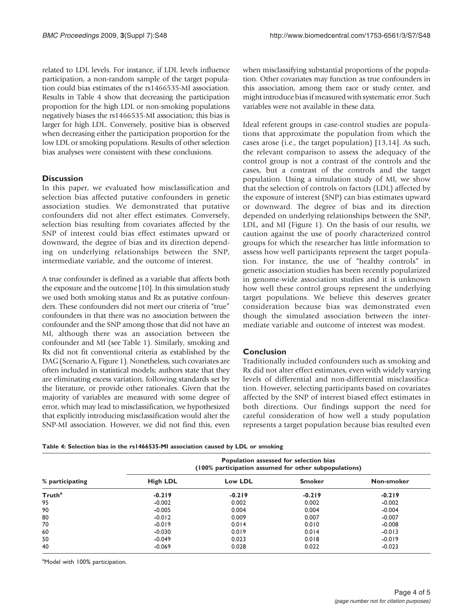related to LDL levels. For instance, if LDL levels influence participation, a non-random sample of the target population could bias estimates of the rs1466535-MI association. Results in Table 4 show that decreasing the participation proportion for the high LDL or non-smoking populations negatively biases the rs1466535-MI association; this bias is larger for high LDL. Conversely, positive bias is observed when decreasing either the participation proportion for the low LDL or smoking populations. Results of other selection bias analyses were consistent with these conclusions.

## **Discussion**

In this paper, we evaluated how misclassification and selection bias affected putative confounders in genetic association studies. We demonstrated that putative confounders did not alter effect estimates. Conversely, selection bias resulting from covariates affected by the SNP of interest could bias effect estimates upward or downward, the degree of bias and its direction depending on underlying relationships between the SNP, intermediate variable, and the outcome of interest.

A true confounder is defined as a variable that affects both the exposure and the outcome [\[10\]](#page-4-0). In this simulation study we used both smoking status and Rx as putative confounders. These confounders did not meet our criteria of "true" confounders in that there was no association between the confounder and the SNP among those that did not have an MI, although there was an association between the confounder and MI (see [Table 1](#page-1-0)). Similarly, smoking and Rx did not fit conventional criteria as established by the DAG (Scenario A, [Figure 1\)](#page-2-0). Nonetheless, such covariates are often included in statistical models; authors state that they are eliminating excess variation, following standards set by the literature, or provide other rationales. Given that the majority of variables are measured with some degree of error, which may lead to misclassification, we hypothesized that explicitly introducing misclassification would alter the SNP-MI association. However, we did not find this, even

when misclassifying substantial proportions of the population. Other covariates may function as true confounders in this association, among them race or study center, and might introduce bias if measured with systematic error. Such variables were not available in these data.

Ideal referent groups in case-control studies are populations that approximate the population from which the cases arose (i.e., the target population) [[13,14](#page-4-0)]. As such, the relevant comparison to assess the adequacy of the control group is not a contrast of the controls and the cases, but a contrast of the controls and the target population. Using a simulation study of MI, we show that the selection of controls on factors (LDL) affected by the exposure of interest (SNP) can bias estimates upward or downward. The degree of bias and its direction depended on underlying relationships between the SNP, LDL, and MI ([Figure 1\)](#page-2-0). On the basis of our results, we caution against the use of poorly characterized control groups for which the researcher has little information to assess how well participants represent the target population. For instance, the use of "healthy controls" in genetic association studies has been recently popularized in genome-wide association studies and it is unknown how well these control groups represent the underlying target populations. We believe this deserves greater consideration because bias was demonstrated even though the simulated association between the intermediate variable and outcome of interest was modest.

## Conclusion

Traditionally included confounders such as smoking and Rx did not alter effect estimates, even with widely varying levels of differential and non-differential misclassification. However, selecting participants based on covariates affected by the SNP of interest biased effect estimates in both directions. Our findings support the need for careful consideration of how well a study population represents a target population because bias resulted even

|  | Table 4: Selection bias in the rs1466535-MI association caused by LDL or smoking |
|--|----------------------------------------------------------------------------------|
|  |                                                                                  |

| % participating | Population assessed for selection bias<br>(100% participation assumed for other subpopulations) |          |               |            |  |  |
|-----------------|-------------------------------------------------------------------------------------------------|----------|---------------|------------|--|--|
|                 | <b>High LDL</b>                                                                                 | Low LDL  | <b>Smoker</b> | Non-smoker |  |  |
| $T$ ruth $a$    | $-0.219$                                                                                        | $-0.219$ | $-0.219$      | $-0.219$   |  |  |
| 95              | $-0.002$                                                                                        | 0.002    | 0.002         | $-0.002$   |  |  |
| 90              | $-0.005$                                                                                        | 0.004    | 0.004         | $-0.004$   |  |  |
| 80              | $-0.012$                                                                                        | 0.009    | 0.007         | $-0.007$   |  |  |
| 70              | $-0.019$                                                                                        | 0.014    | 0.010         | $-0.008$   |  |  |
| 60              | $-0.030$                                                                                        | 0.019    | 0.014         | $-0.013$   |  |  |
| 50              | $-0.049$                                                                                        | 0.023    | 0.018         | $-0.019$   |  |  |
| 40              | $-0.069$                                                                                        | 0.028    | 0.022         | $-0.023$   |  |  |

<sup>a</sup>Model with 100% participation.